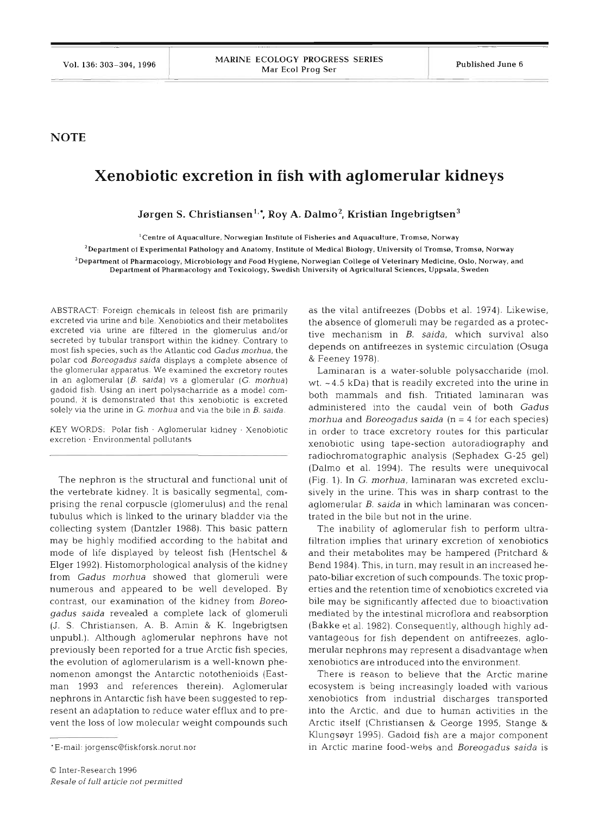## **NOTE**

## **Xenobiotic excretion in fish with aglomerular kidneys**

Jørgen S. Christiansen<sup>1,\*</sup>, Roy A. Dalmo<sup>2</sup>, Kristian Ingebrigtsen<sup>3</sup>

**'Centre of Aquaculture, Norwegian Institute of Fisheries and Aquaculture. Tromse, Norway** 

**2Departrnent of Experimental Pathology and Anatomy, Institute of Medical Biology. University of Tromse. Trornse. Norway 3Department of Pharmacology, Microbiology and Food Hygiene, Norwegian College of Veterinary Medicine. Oslo, Norway, and Department of Pharmacology and Toxicology, Swedish University of Agricultural Sciences, Uppsala. Sweden** 

secreted by tubular transport within the kidney. Contrary to polar cod *Boreogadus saida* displays a complete absence of & Feeney 1978). the glomerular apparatus. We examined the excretory routes Laminaran is a water-soluble polysaccharide (mol. in an aglomerular (*B. saida*) vs a glomerular (*G. morhua*) wt  $\alpha$ 4.5 kDa) that is readily excreted into the u solely via the urine in *G. morhua* and via the bile in *B. saida.* 

KEY WORDS: Polar fish . Aglomerular kidney . Xenobiotic excretion - Environmental pollutants

The nephron is the structural and functional unit of the vertebrate kidney. It is basically segmental, comprising the renal corpuscle (glomerulus) and the renal tubulus which is linked to the urinary bladder via the collecting system (Dantzler 1988). This basic pattern may be highly modified according to the habitat and mode of life displayed by teleost fish (Hentschel & Elger 1992). Histomorphological analysis of the kidney from *Gadus* morhua showed that glomeruli were numerous and appeared to be well developed. By contrast, our examination of the kidney from *Boreogadus saida* revealed a complete lack of glomeruli (J. S. Christlansen, A. B. Amin & K. Ingebrigtsen unpubl.). Although aglomerular nephrons have not previously been reported for a true Arctic fish species, the evolution of aglomerularism is a well-known phenomenon amongst the Antarctic notothenioids (Eastman 1993 and references therein). Aglomerular nephrons in Antarctic fish have been suggested to represent an adaptation to reduce water efflux and to prevent the loss of low molecular weight compounds such

ABSTRACT: Foreign chemicals in teleost fish are primarily as the vital antifreezes (Dobbs et al. 1974). Likewise, excreted via urine and bile. Xenobiotics and their metabolites the absence of glomeruli may be regarded as a protec-<br>excreted via urine are filtered in the glomerulus and/or tive mechanism in *B, saida*, which survival als most fish species, such as the Atlantic cod *Gadus morhua*, the depends on antifreezes in systemic circulation (Osuga most fish species, such as the Atlantic cod *Gadus morhua*, the

 $wt.$  ~4.5 kDa) that is readily excreted into the urine in gadoid fish. Using an inert polysacharride as a model com-<br>both mammals and fish. Tritiated laminaran was pound, it is demonstrated that this xenobiotic is excreted both mammals and fish. Tritiated laminiaran was<br>solely via the urine in G morbus and via the bile in B saids administered into the caudal vein of both Gadus *rnorhua* and *Boreogadus saida* (n = *4* for each species) in order to trace excretory routes for this particular xenobiotic using tape-section autoradiography and radiochromatographic analysis (Sephadex G-25 gel) (Dalmo et al. 1994). The results were unequivocal (Fig. 1). In G. *morhua,* laminaran was excreted exclusively in the urine. This was in sharp contrast to the aglomerular B. *saida* in which laminaran was concentrated in the bile but not in the urine.

> The inability of aglomerular fish to perform ultrafiltration implies that urinary excretion of xenobiotics and their metabolites may be hampered (Pritchard & Bend 1984). This, in turn, may result in an increased hepato-biliar excretion of such compounds. The toxic properties and the retention time of xenobiotics excreted via bile may be significantly affected due to bioactivation mediated by the intestinal microflora and reabsorption (Bakke et al. 1982). Consequently, although highly advantageous for fish dependent on antifreezes, aglomerular nephrons may represent a disadvantage when xenobiotlcs are introduced into the environment.

There is reason to believe that the Arctic marine ecosystem is being increasingly loaded with various xenobiotics from industrial discharges transported into the Arctic, and due to human activities in the Arctic itself (Christiansen & George 1995, Stange & Klungseyr 1995). Gadoid fish are a major component in Arctic marine food-webs and *Boreogadus saida* is

<sup>&#</sup>x27;E-mail: jorgensc@fiskforsk.norut.nor